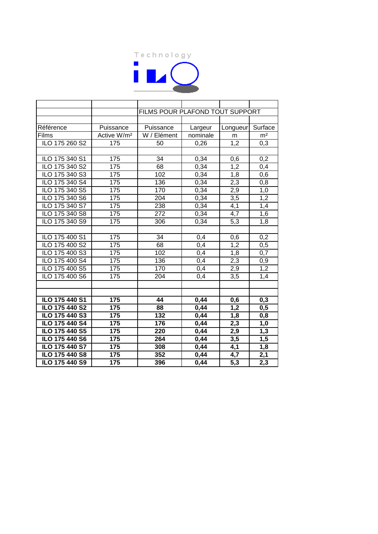

|                |                         | FILMS POUR PLAFOND TOUT SUPPORT |          |                  |                  |  |
|----------------|-------------------------|---------------------------------|----------|------------------|------------------|--|
|                |                         |                                 |          |                  |                  |  |
| Référence      | Puissance               | Puissance                       | Largeur  | Longueur         | Surface          |  |
| Films          | Active W/m <sup>2</sup> | W / Elément                     | nominale | m                | m <sup>2</sup>   |  |
| ILO 175 260 S2 | 175                     | 50                              | 0,26     | 1,2              | 0,3              |  |
|                |                         |                                 |          |                  |                  |  |
| ILO 175 340 S1 | 175                     | 34                              | 0,34     | 0,6              | 0,2              |  |
| ILO 175 340 S2 | 175                     | 68                              | 0,34     | 1,2              | 0,4              |  |
| ILO 175 340 S3 | 175                     | 102                             | 0,34     | 1,8              | 0,6              |  |
| ILO 175 340 S4 | 175                     | 136                             | 0,34     | $\overline{2,3}$ | 0,8              |  |
| ILO 175 340 S5 | 175                     | 170                             | 0,34     | 2,9              | 1,0              |  |
| ILO 175 340 S6 | 175                     | $\overline{204}$                | 0,34     | $\overline{3,5}$ | 1,2              |  |
| ILO 175 340 S7 | 175                     | 238                             | 0,34     | 4,1              | 1,4              |  |
| ILO 175 340 S8 | 175                     | 272                             | 0,34     | 4,7              | 1,6              |  |
| ILO 175 340 S9 | 175                     | 306                             | 0,34     | $\overline{5,3}$ | $\overline{1,8}$ |  |
|                |                         |                                 |          |                  |                  |  |
| ILO 175 400 S1 | 175                     | 34                              | 0,4      | 0,6              | 0,2              |  |
| ILO 175 400 S2 | 175                     | 68                              | 0,4      | 1,2              | 0,5              |  |
| ILO 175 400 S3 | 175                     | 102                             | 0,4      | 1,8              | 0,7              |  |
| ILO 175 400 S4 | 175                     | 136                             | 0,4      | 2,3              | 0,9              |  |
| ILO 175 400 S5 | 175                     | 170                             | 0,4      | 2,9              | 1,2              |  |
| ILO 175 400 S6 | 175                     | 204                             | 0,4      | 3,5              | 1,4              |  |
|                |                         |                                 |          |                  |                  |  |
|                |                         |                                 |          |                  |                  |  |
| ILO 175 440 S1 | 175                     | 44                              | 0,44     | 0,6              | 0,3              |  |
| ILO 175 440 S2 | 175                     | 88                              | 0,44     | 1,2              | 0,5              |  |
| ILO 175 440 S3 | 175                     | 132                             | 0,44     | 1,8              | 0,8              |  |
| ILO 175 440 S4 | 175                     | 176                             | 0,44     | 2,3              | 1,0              |  |
| ILO 175 440 S5 | 175                     | 220                             | 0,44     | 2,9              | 1,3              |  |
| ILO 175 440 S6 | 175                     | 264                             | 0,44     | 3,5              | 1,5              |  |
| ILO 175 440 S7 | 175                     | 308                             | 0,44     | 4,1              | 1,8              |  |
| ILO 175 440 S8 | 175                     | 352                             | 0,44     | 4,7              | 2,1              |  |
| ILO 175 440 S9 | 175                     | 396                             | 0,44     | $\overline{5,3}$ | 2,3              |  |